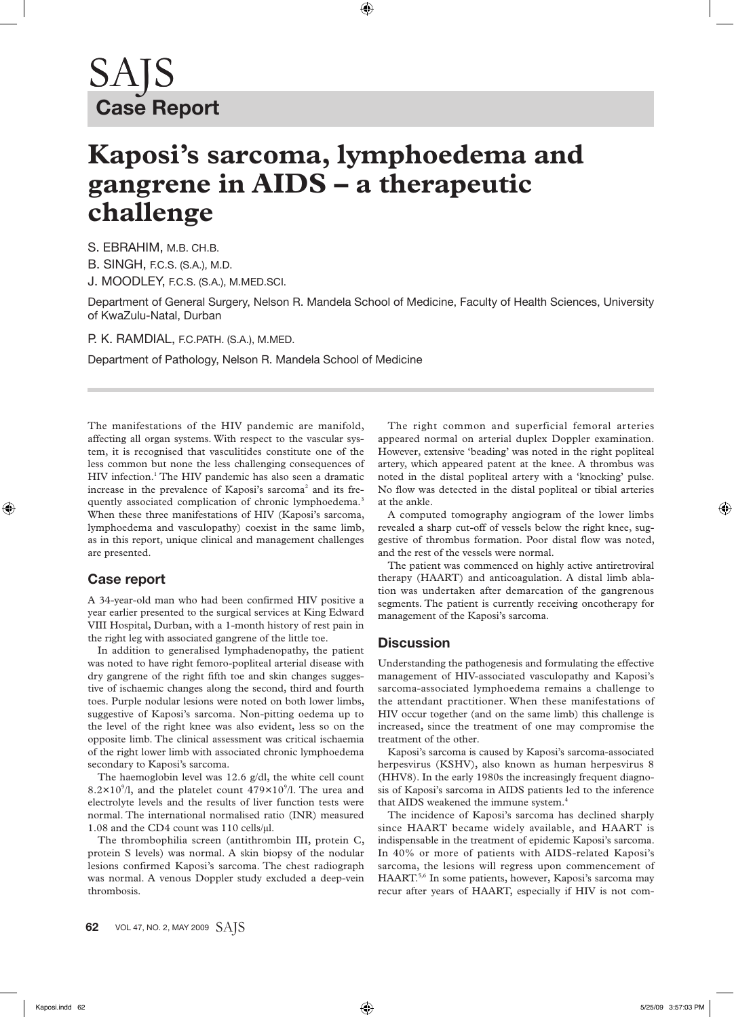## **Kaposi's sarcoma, lymphoedema and gangrene in AIDS – a therapeutic challenge**

S. EBRAHIM, M.B. CH.B.

B. SINGH, F.C.S. (S.A.), M.D.

J. MOODLEY, F.C.S. (S.A.), M.MED.SCI.

Department of General Surgery, Nelson R. Mandela School of Medicine, Faculty of Health Sciences, University of KwaZulu-Natal, Durban

P. K. RAMDIAL, F.C.PATH. (S.A.), M.MED.

Department of Pathology, Nelson R. Mandela School of Medicine

The manifestations of the HIV pandemic are manifold, affecting all organ systems. With respect to the vascular system, it is recognised that vasculitides constitute one of the less common but none the less challenging consequences of HIV infection.<sup>1</sup> The HIV pandemic has also seen a dramatic increase in the prevalence of Kaposi's sarcoma<sup>2</sup> and its frequently associated complication of chronic lymphoedema.<sup>3</sup> When these three manifestations of HIV (Kaposi's sarcoma, lymphoedema and vasculopathy) coexist in the same limb, as in this report, unique clinical and management challenges are presented.

## **Case report**

A 34-year-old man who had been confirmed HIV positive a year earlier presented to the surgical services at King Edward VIII Hospital, Durban, with a 1-month history of rest pain in the right leg with associated gangrene of the little toe.

In addition to generalised lymphadenopathy, the patient was noted to have right femoro-popliteal arterial disease with dry gangrene of the right fifth toe and skin changes suggestive of ischaemic changes along the second, third and fourth toes. Purple nodular lesions were noted on both lower limbs, suggestive of Kaposi's sarcoma. Non-pitting oedema up to the level of the right knee was also evident, less so on the opposite limb. The clinical assessment was critical ischaemia of the right lower limb with associated chronic lymphoedema secondary to Kaposi's sarcoma.

The haemoglobin level was 12.6 g/dl, the white cell count 8.2 $\times$ 10<sup>9</sup>/l, and the platelet count 479 $\times$ 10<sup>9</sup>/l. The urea and electrolyte levels and the results of liver function tests were normal. The international normalised ratio (INR) measured 1.08 and the CD4 count was 110 cells/µl.

The thrombophilia screen (antithrombin III, protein C, protein S levels) was normal. A skin biopsy of the nodular lesions confirmed Kaposi's sarcoma. The chest radiograph was normal. A venous Doppler study excluded a deep-vein thrombosis.

The right common and superficial femoral arteries appeared normal on arterial duplex Doppler examination. However, extensive 'beading' was noted in the right popliteal artery, which appeared patent at the knee. A thrombus was noted in the distal popliteal artery with a 'knocking' pulse. No flow was detected in the distal popliteal or tibial arteries at the ankle.

A computed tomography angiogram of the lower limbs revealed a sharp cut-off of vessels below the right knee, suggestive of thrombus formation. Poor distal flow was noted, and the rest of the vessels were normal.

The patient was commenced on highly active antiretroviral therapy (HAART) and anticoagulation. A distal limb ablation was undertaken after demarcation of the gangrenous segments. The patient is currently receiving oncotherapy for management of the Kaposi's sarcoma.

## **Discussion**

Understanding the pathogenesis and formulating the effective management of HIV-associated vasculopathy and Kaposi's sarcoma-associated lymphoedema remains a challenge to the attendant practitioner. When these manifestations of HIV occur together (and on the same limb) this challenge is increased, since the treatment of one may compromise the treatment of the other.

Kaposi's sarcoma is caused by Kaposi's sarcoma-associated herpesvirus (KSHV), also known as human herpesvirus 8 (HHV8). In the early 1980s the increasingly frequent diagnosis of Kaposi's sarcoma in AIDS patients led to the inference that AIDS weakened the immune system.<sup>4</sup>

The incidence of Kaposi's sarcoma has declined sharply since HAART became widely available, and HAART is indispensable in the treatment of epidemic Kaposi's sarcoma. In 40% or more of patients with AIDS-related Kaposi's sarcoma, the lesions will regress upon commencement of HAART.5,6 In some patients, however, Kaposi's sarcoma may recur after years of HAART, especially if HIV is not com